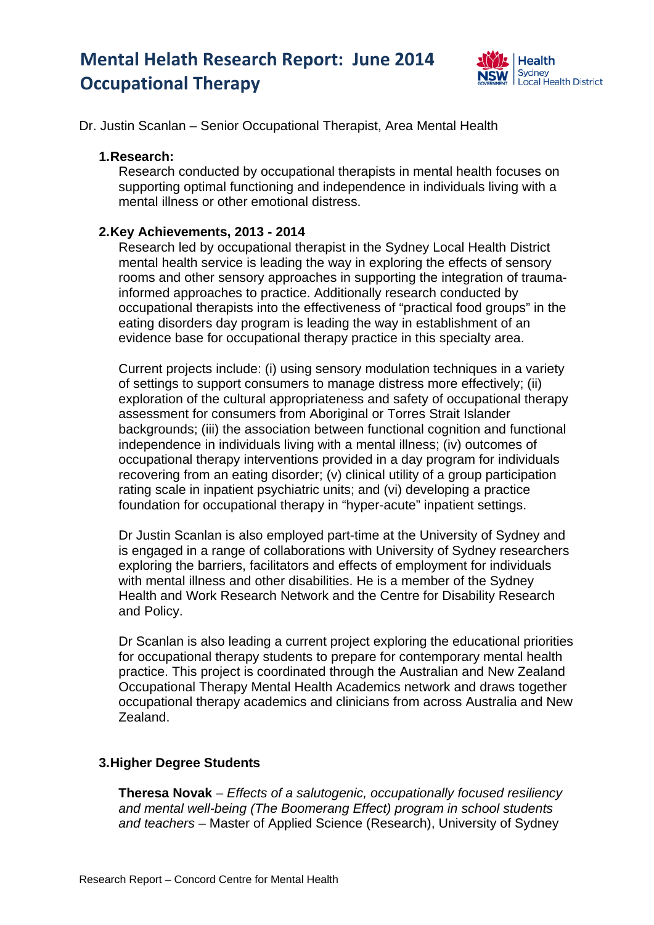# **Mental Helath Research Report: June 2014 Occupational Therapy**



Dr. Justin Scanlan – Senior Occupational Therapist, Area Mental Health

#### **1. Research:**

Research conducted by occupational therapists in mental health focuses on supporting optimal functioning and independence in individuals living with a mental illness or other emotional distress.

## **2. Key Achievements, 2013 - 2014**

Research led by occupational therapist in the Sydney Local Health District mental health service is leading the way in exploring the effects of sensory rooms and other sensory approaches in supporting the integration of traumainformed approaches to practice. Additionally research conducted by occupational therapists into the effectiveness of "practical food groups" in the eating disorders day program is leading the way in establishment of an evidence base for occupational therapy practice in this specialty area.

Current projects include: (i) using sensory modulation techniques in a variety of settings to support consumers to manage distress more effectively; (ii) exploration of the cultural appropriateness and safety of occupational therapy assessment for consumers from Aboriginal or Torres Strait Islander backgrounds; (iii) the association between functional cognition and functional independence in individuals living with a mental illness; (iv) outcomes of occupational therapy interventions provided in a day program for individuals recovering from an eating disorder; (v) clinical utility of a group participation rating scale in inpatient psychiatric units; and (vi) developing a practice foundation for occupational therapy in "hyper-acute" inpatient settings.

Dr Justin Scanlan is also employed part-time at the University of Sydney and is engaged in a range of collaborations with University of Sydney researchers exploring the barriers, facilitators and effects of employment for individuals with mental illness and other disabilities. He is a member of the Sydney Health and Work Research Network and the Centre for Disability Research and Policy.

Dr Scanlan is also leading a current project exploring the educational priorities for occupational therapy students to prepare for contemporary mental health practice. This project is coordinated through the Australian and New Zealand Occupational Therapy Mental Health Academics network and draws together occupational therapy academics and clinicians from across Australia and New Zealand.

## **3. Higher Degree Students**

**Theresa Novak** – *Effects of a salutogenic, occupationally focused resiliency and mental well-being (The Boomerang Effect) program in school students and teachers* – Master of Applied Science (Research), University of Sydney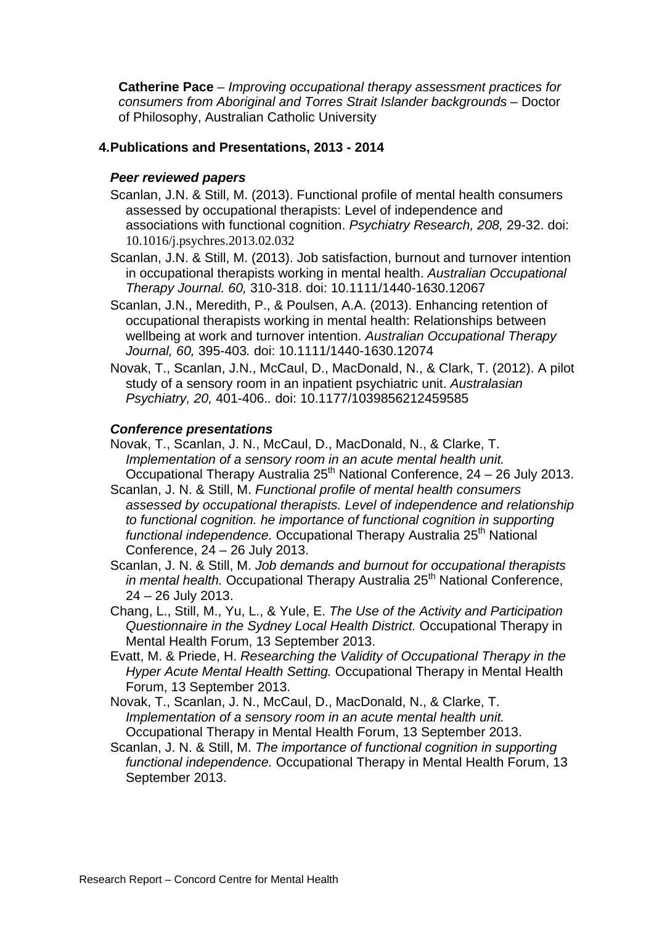**Catherine Pace** – *Improving occupational therapy assessment practices for consumers from Aboriginal and Torres Strait Islander backgrounds* – Doctor of Philosophy, Australian Catholic University

# **4. Publications and Presentations, 2013 - 2014**

### *Peer reviewed papers*

- Scanlan, J.N. & Still, M. (2013). Functional profile of mental health consumers assessed by occupational therapists: Level of independence and associations with functional cognition. *Psychiatry Research, 208,* 29-32. doi: 10.1016/j.psychres.2013.02.032
- Scanlan, J.N. & Still, M. (2013). Job satisfaction, burnout and turnover intention in occupational therapists working in mental health. *Australian Occupational Therapy Journal. 60,* 310-318. doi: 10.1111/1440-1630.12067
- Scanlan, J.N., Meredith, P., & Poulsen, A.A. (2013). Enhancing retention of occupational therapists working in mental health: Relationships between wellbeing at work and turnover intention. *Australian Occupational Therapy Journal, 60,* 395-403*.* doi: 10.1111/1440-1630.12074
- Novak, T., Scanlan, J.N., McCaul, D., MacDonald, N., & Clark, T. (2012). A pilot study of a sensory room in an inpatient psychiatric unit. *Australasian Psychiatry, 20,* 401-406.*.* doi: 10.1177/1039856212459585

## *Conference presentations*

- Novak, T., Scanlan, J. N., McCaul, D., MacDonald, N., & Clarke, T. *Implementation of a sensory room in an acute mental health unit.*  Occupational Therapy Australia 25<sup>th</sup> National Conference,  $24 - 26$  July 2013.
- Scanlan, J. N. & Still, M. *Functional profile of mental health consumers assessed by occupational therapists. Level of independence and relationship to functional cognition. he importance of functional cognition in supporting functional independence.* Occupational Therapy Australia 25th National Conference, 24 – 26 July 2013.
- Scanlan, J. N. & Still, M. *Job demands and burnout for occupational therapists in mental health.* Occupational Therapy Australia 25<sup>th</sup> National Conference, 24 – 26 July 2013.
- Chang, L., Still, M., Yu, L., & Yule, E. *The Use of the Activity and Participation Questionnaire in the Sydney Local Health District.* Occupational Therapy in Mental Health Forum, 13 September 2013.
- Evatt, M. & Priede, H. *Researching the Validity of Occupational Therapy in the Hyper Acute Mental Health Setting.* Occupational Therapy in Mental Health Forum, 13 September 2013.
- Novak, T., Scanlan, J. N., McCaul, D., MacDonald, N., & Clarke, T. *Implementation of a sensory room in an acute mental health unit.*  Occupational Therapy in Mental Health Forum, 13 September 2013.
- Scanlan, J. N. & Still, M. *The importance of functional cognition in supporting functional independence.* Occupational Therapy in Mental Health Forum, 13 September 2013.